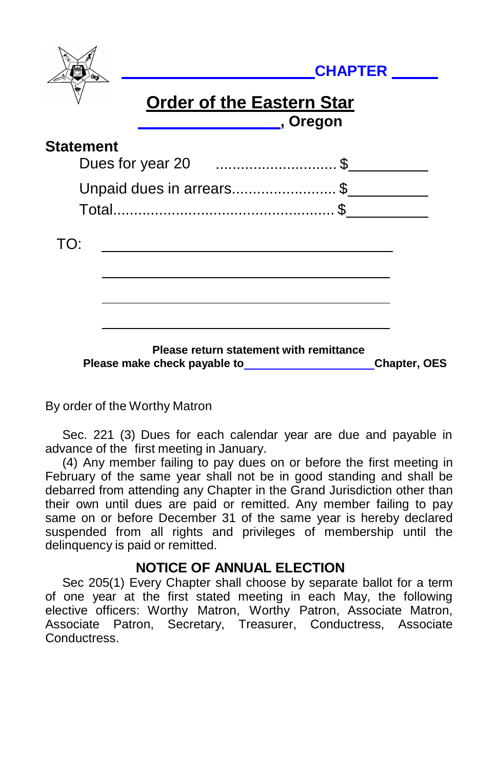|                          | <b>CHAPTER</b> |                                                                                                                                                                                                                                                                                 |  |                     |
|--------------------------|----------------|---------------------------------------------------------------------------------------------------------------------------------------------------------------------------------------------------------------------------------------------------------------------------------|--|---------------------|
|                          |                | <b>Order of the Eastern Star</b><br>______________________, Oregon                                                                                                                                                                                                              |  |                     |
| <b>Statement</b>         |                | Dues for year 20 \$                                                                                                                                                                                                                                                             |  |                     |
| Unpaid dues in arrears\$ |                |                                                                                                                                                                                                                                                                                 |  |                     |
|                          |                |                                                                                                                                                                                                                                                                                 |  |                     |
| TO:                      |                |                                                                                                                                                                                                                                                                                 |  |                     |
|                          |                |                                                                                                                                                                                                                                                                                 |  |                     |
|                          |                |                                                                                                                                                                                                                                                                                 |  |                     |
|                          |                | Please return statement with remittance<br>Please make check payable to <b>contract the set of the set of the set of the set of the set of the set of the set of the set of the set of the set of the set of the set of the set of the set of the set of the set of the set</b> |  | <b>Chapter, OES</b> |

By order of the Worthy Matron

Sec. 221 (3) Dues for each calendar year are due and payable in advance of the first meeting in January.

(4) Any member failing to pay dues on or before the first meeting in February of the same year shall not be in good standing and shall be debarred from attending any Chapter in the Grand Jurisdiction other than their own until dues are paid or remitted. Any member failing to pay same on or before December 31 of the same year is hereby declared suspended from all rights and privileges of membership until the delinquency is paid or remitted.

## **NOTICE OF ANNUAL ELECTION**

Sec 205(1) Every Chapter shall choose by separate ballot for a term of one year at the first stated meeting in each May, the following elective officers: Worthy Matron, Worthy Patron, Associate Matron, Associate Patron, Secretary, Treasurer, Conductress, Associate Conductress.